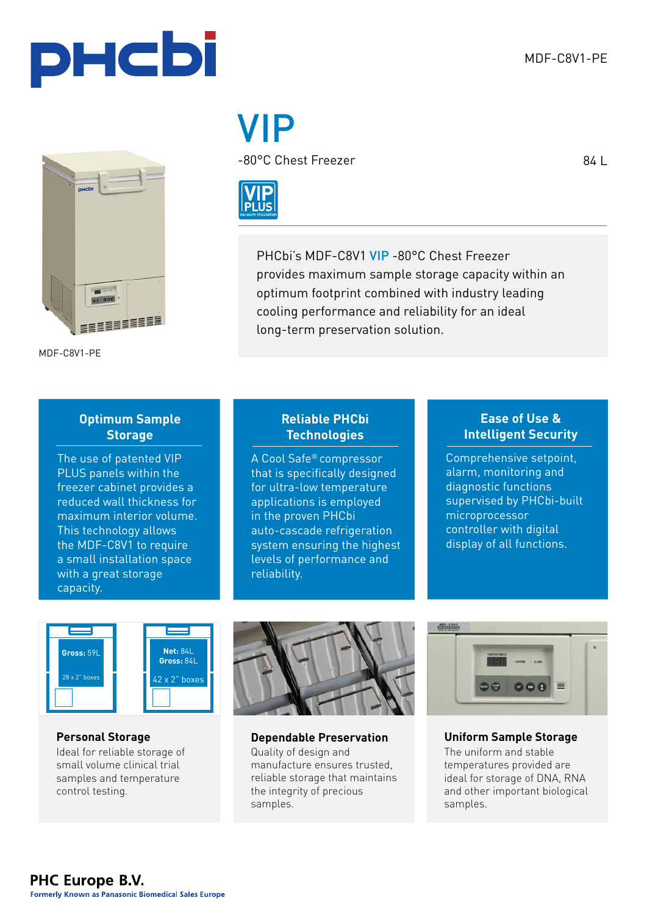84 L





MDF-C8V1-PE

# VIP

-80°C Chest Freezer



PHCbi's MDF-C8V1 VIP -80°C Chest Freezer provides maximum sample storage capacity within an optimum footprint combined with industry leading cooling performance and reliability for an ideal long-term preservation solution.

### **Optimum Sample Storage**

The use of patented VIP PLUS panels within the freezer cabinet provides a reduced wall thickness for maximum interior volume. This technology allows the MDF-C8V1 to require a small installation space with a great storage capacity.

#### **Reliable PHCbi Technologies**

A Cool Safe® compressor that is specifically designed for ultra-low temperature applications is employed in the proven PHCbi auto-cascade refrigeration system ensuring the highest levels of performance and reliability.

#### **Ease of Use & Intelligent Security**

Comprehensive setpoint, alarm, monitoring and diagnostic functions supervised by PHCbi-built microprocessor controller with digital display of all functions.



#### **Personal Storage** Ideal for reliable storage of small volume clinical trial samples and temperature control testing.



**Dependable Preservation Uniform Sample Storage** Quality of design and manufacture ensures trusted, reliable storage that maintains the integrity of precious samples.



The uniform and stable

temperatures provided are ideal for storage of DNA, RNA and other important biological samples.